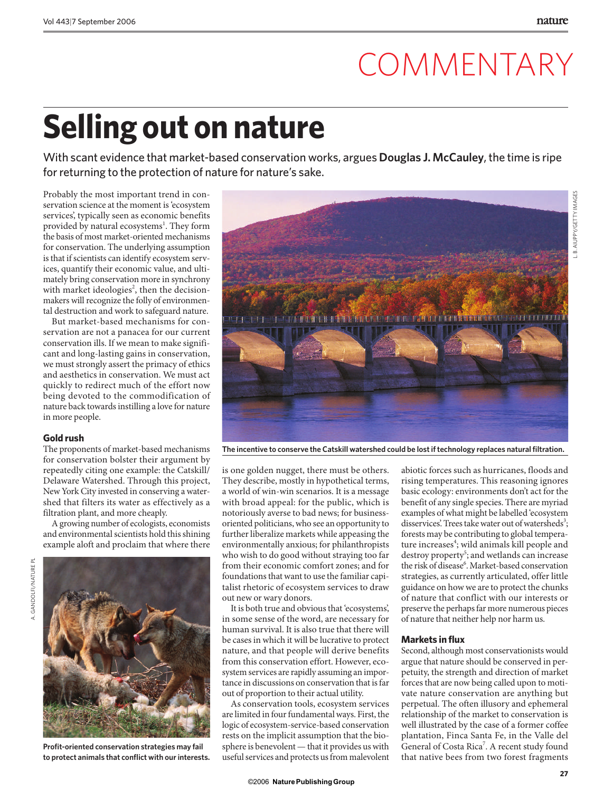L. B. AIUPPY/GETTY IMAGES

## COMMENTARY

# **Selling out on nature**

With scant evidence that market-based conservation works, argues **Douglas J. McCauley**, the time is ripe for returning to the protection of nature for nature's sake.

Probably the most important trend in conservation science at the moment is 'ecosystem services', typically seen as economic benefits provided by natural ecosystems<sup>1</sup>. They form the basis of most market-oriented mechanisms for conservation. The underlying assumption is that if scientists can identify ecosystem services, quantify their economic value, and ultimately bring conservation more in synchrony with market ideologies<sup>2</sup>, then the decisionmakers will recognize the folly of environmental destruction and work to safeguard nature.

But market-based mechanisms for conservation are not a panacea for our current conservation ills. If we mean to make significant and long-lasting gains in conservation, we must strongly assert the primacy of ethics and aesthetics in conservation. We must act quickly to redirect much of the effort now being devoted to the commodification of nature back towards instilling a love for nature in more people.

### **Gold rush**

The proponents of market-based mechanisms for conservation bolster their argument by repeatedly citing one example: the Catskill/ Delaware Watershed. Through this project, New York City invested in conserving a watershed that filters its water as effectively as a filtration plant, and more cheaply.

A growing number of ecologists, economists and environmental scientists hold this shining example aloft and proclaim that where there



**Profit-oriented conservation strategies may fail to protect animals that conflict with our interests.** 



**The incentive to conserve the Catskill watershed could be lost if technology replaces natural filtration.**

is one golden nugget, there must be others. They describe, mostly in hypothetical terms, a world of win-win scenarios. It is a message with broad appeal: for the public, which is notoriously averse to bad news; for businessoriented politicians, who see an opportunity to further liberalize markets while appeasing the environmentally anxious; for philanthropists who wish to do good without straying too far from their economic comfort zones; and for foundations that want to use the familiar capitalist rhetoric of ecosystem services to draw out new or wary donors.

It is both true and obvious that 'ecosystems', in some sense of the word, are necessary for human survival. It is also true that there will be cases in which it will be lucrative to protect nature, and that people will derive benefits from this conservation effort. However, ecosystem services are rapidly assuming an importance in discussions on conservation that is far out of proportion to their actual utility.

As conservation tools, ecosystem services are limited in four fundamental ways. First, the logic of ecosystem-service-based conservation rests on the implicit assumption that the biosphere is benevolent — that it provides us with useful services and protects us from malevolent

abiotic forces such as hurricanes, floods and rising temperatures. This reasoning ignores basic ecology: environments don't act for the benefit of any single species. There are myriad examples of what might be labelled 'ecosystem disservices'. Trees take water out of watersheds<sup>3</sup>; forests may be contributing to global temperature increases<sup>4</sup>; wild animals kill people and destroy property<sup>5</sup>; and wetlands can increase the risk of disease<sup>6</sup>. Market-based conservation strategies, as currently articulated, offer little guidance on how we are to protect the chunks of nature that conflict with our interests or preserve the perhaps far more numerous pieces of nature that neither help nor harm us.

#### **Markets in flux**

Second, although most conservationists would argue that nature should be conserved in perpetuity, the strength and direction of market forces that are now being called upon to motivate nature conservation are anything but perpetual. The often illusory and ephemeral relationship of the market to conservation is well illustrated by the case of a former coffee plantation, Finca Santa Fe, in the Valle del General of Costa Rica<sup>7</sup>. A recent study found that native bees from two forest fragments